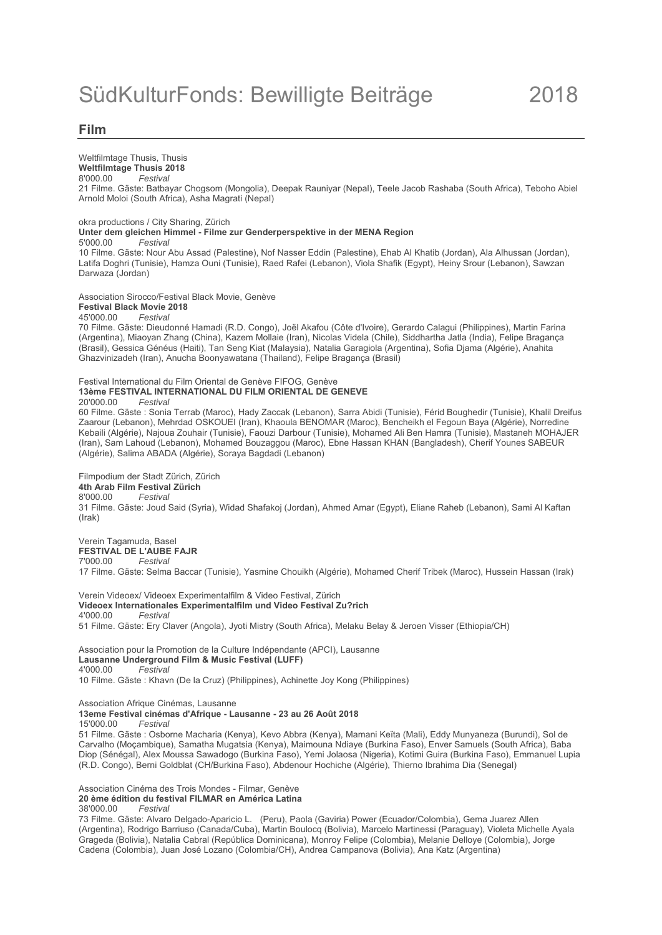### **Film**

Weltfilmtage Thusis, Thusis **Weltfilmtage Thusis 2018** 8'000.00 *Festival* 21 Filme. Gäste: Batbayar Chogsom (Mongolia), Deepak Rauniyar (Nepal), Teele Jacob Rashaba (South Africa), Teboho Abiel Arnold Moloi (South Africa), Asha Magrati (Nepal)

okra productions / City Sharing, Zürich **Unter dem gleichen Himmel - Filme zur Genderperspektive in der MENA Region** 5'000.00 *Festival* 10 Filme. Gäste: Nour Abu Assad (Palestine), Nof Nasser Eddin (Palestine), Ehab Al Khatib (Jordan), Ala Alhussan (Jordan), Latifa Doghri (Tunisie), Hamza Ouni (Tunisie), Raed Rafei (Lebanon), Viola Shafik (Egypt), Heiny Srour (Lebanon), Sawzan Darwaza (Jordan)

Association Sirocco/Festival Black Movie, Genève

#### **Festival Black Movie 2018**

45'000.00 *Festival*

70 Filme. Gäste: Dieudonné Hamadi (R.D. Congo), Joël Akafou (Côte d'Ivoire), Gerardo Calagui (Philippines), Martin Farina (Argentina), Miaoyan Zhang (China), Kazem Mollaie (Iran), Nicolas Videla (Chile), Siddhartha Jatla (India), Felipe Bragança (Brasil), Gessica Généus (Haiti), Tan Seng Kiat (Malaysia), Natalia Garagiola (Argentina), Sofia Djama (Algérie), Anahita Ghazvinizadeh (Iran), Anucha Boonyawatana (Thailand), Felipe Bragança (Brasil)

#### Festival International du Film Oriental de Genève FIFOG, Genève **13ème FESTIVAL INTERNATIONAL DU FILM ORIENTAL DE GENEVE**

20'000.00 *Festival*

60 Filme. Gäste : Sonia Terrab (Maroc), Hady Zaccak (Lebanon), Sarra Abidi (Tunisie), Férid Boughedir (Tunisie), Khalil Dreifus Zaarour (Lebanon), Mehrdad OSKOUEI (Iran), Khaoula BENOMAR (Maroc), Bencheikh el Fegoun Baya (Algérie), Norredine Kebaili (Algérie), Najoua Zouhair (Tunisie), Faouzi Darbour (Tunisie), Mohamed Ali Ben Hamra (Tunisie), Mastaneh MOHAJER (Iran), Sam Lahoud (Lebanon), Mohamed Bouzaggou (Maroc), Ebne Hassan KHAN (Bangladesh), Cherif Younes SABEUR (Algérie), Salima ABADA (Algérie), Soraya Bagdadi (Lebanon)

Filmpodium der Stadt Zürich, Zürich **4th Arab Film Festival Zürich** 8'000.00 *Festival* 31 Filme. Gäste: Joud Said (Syria), Widad Shafakoj (Jordan), Ahmed Amar (Egypt), Eliane Raheb (Lebanon), Sami Al Kaftan (Irak)

Verein Tagamuda, Basel **FESTIVAL DE L'AUBE FAJR**<br>7'000.00 *Festival* 7'000.00 *Festival* 17 Filme. Gäste: Selma Baccar (Tunisie), Yasmine Chouikh (Algérie), Mohamed Cherif Tribek (Maroc), Hussein Hassan (Irak)

Verein Videoex/ Videoex Experimentalfilm & Video Festival, Zürich **Videoex Internationales Experimentalfilm und Video Festival Zu?rich** 4'000.00 *Festival*

51 Filme. Gäste: Ery Claver (Angola), Jyoti Mistry (South Africa), Melaku Belay & Jeroen Visser (Ethiopia/CH)

Association pour la Promotion de la Culture Indépendante (APCI), Lausanne **Lausanne Underground Film & Music Festival (LUFF)** 4'000.00 *Festival* 10 Filme. Gäste : Khavn (De la Cruz) (Philippines), Achinette Joy Kong (Philippines)

Association Afrique Cinémas, Lausanne

**13eme Festival cinémas d'Afrique - Lausanne - 23 au 26 Août 2018**

15'000.00 *Festival*

51 Filme. Gäste : Osborne Macharia (Kenya), Kevo Abbra (Kenya), Mamani Keïta (Mali), Eddy Munyaneza (Burundi), Sol de Carvalho (Moçambique), Samatha Mugatsia (Kenya), Maimouna Ndiaye (Burkina Faso), Enver Samuels (South Africa), Baba Diop (Sénégal), Alex Moussa Sawadogo (Burkina Faso), Yemi Jolaosa (Nigeria), Kotimi Guira (Burkina Faso), Emmanuel Lupia (R.D. Congo), Berni Goldblat (CH/Burkina Faso), Abdenour Hochiche (Algérie), Thierno Ibrahima Dia (Senegal)

Association Cinéma des Trois Mondes - Filmar, Genève **20 ème édition du festival FILMAR en América Latina**

38'000.00 *Festival*

73 Filme. Gäste: Alvaro Delgado-Aparicio L. (Peru), Paola (Gaviria) Power (Ecuador/Colombia), Gema Juarez Allen (Argentina), Rodrigo Barriuso (Canada/Cuba), Martin Boulocq (Bolivia), Marcelo Martinessi (Paraguay), Violeta Michelle Ayala Grageda (Bolivia), Natalia Cabral (República Dominicana), Monroy Felipe (Colombia), Melanie Delloye (Colombia), Jorge Cadena (Colombia), Juan José Lozano (Colombia/CH), Andrea Campanova (Bolivia), Ana Katz (Argentina)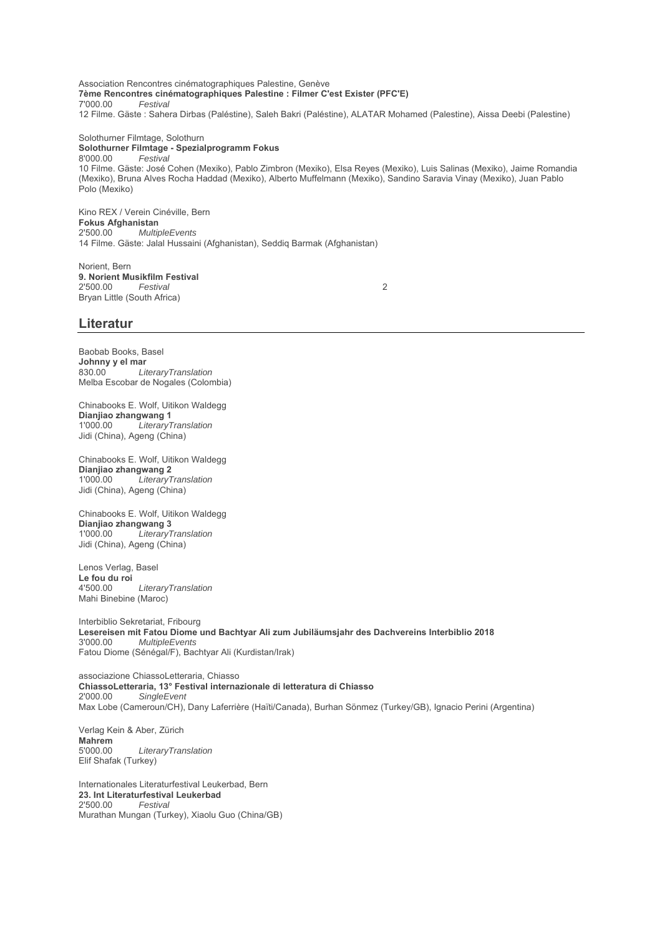Association Rencontres cinématographiques Palestine, Genève **7ème Rencontres cinématographiques Palestine : Filmer C'est Exister (PFC'E)**  $F$ estival 12 Filme. Gäste : Sahera Dirbas (Paléstine), Saleh Bakri (Paléstine), ALATAR Mohamed (Palestine), Aissa Deebi (Palestine)

# Solothurner Filmtage, Solothurn

**Solothurner Filmtage - Spezialprogramm Fokus** 8'000.00 *Festival* 10 Filme. Gäste: José Cohen (Mexiko), Pablo Zimbron (Mexiko), Elsa Reyes (Mexiko), Luis Salinas (Mexiko), Jaime Romandia (Mexiko), Bruna Alves Rocha Haddad (Mexiko), Alberto Muffelmann (Mexiko), Sandino Saravia Vinay (Mexiko), Juan Pablo Polo (Mexiko)

Kino REX / Verein Cinéville, Bern **Fokus Afghanistan** 2'500.00 *MultipleEvents* 14 Filme. Gäste: Jalal Hussaini (Afghanistan), Seddiq Barmak (Afghanistan)

Norient, Bern **9. Norient Musikfilm Festival** 2'500.00 *Festival* 2 Bryan Little (South Africa)

### **Literatur**

Baobab Books, Basel **Johnny y el mar** 830.00 *LiteraryTranslation* Melba Escobar de Nogales (Colombia)

Chinabooks E. Wolf, Uitikon Waldegg **Dianjiao zhangwang 1** 1'000.00 *LiteraryTranslation* Jidi (China), Ageng (China)

Chinabooks E. Wolf, Uitikon Waldegg **Dianjiao zhangwang 2** 1'000.00 *LiteraryTranslation* Jidi (China), Ageng (China)

Chinabooks E. Wolf, Uitikon Waldegg **Dianjiao zhangwang 3**  $Literary Translation$ Jidi (China), Ageng (China)

Lenos Verlag, Basel **Le fou du roi**  $Literary Translation$ Mahi Binebine (Maroc)

Interbiblio Sekretariat, Fribourg Lesereisen mit Fatou Diome und Bachtyar Ali zum Jubiläumsjahr des Dachvereins Interbiblio 2018<br>3'000.00 *MultipleEvents* 3'000.00 *MultipleEvents* Fatou Diome (Sénégal/F), Bachtyar Ali (Kurdistan/Irak)

associazione ChiassoLetteraria, Chiasso **ChiassoLetteraria, 13° Festival internazionale di letteratura di Chiasso** 2'000.00 *SingleEvent* Max Lobe (Cameroun/CH), Dany Laferrière (Haïti/Canada), Burhan Sönmez (Turkey/GB), Ignacio Perini (Argentina)

Verlag Kein & Aber, Zürich **Mahrem**<br>5'000.00 5'000.00 *LiteraryTranslation* Elif Shafak (Turkey)

Internationales Literaturfestival Leukerbad, Bern **23. Int Literaturfestival Leukerbad** 2'500.00 *Festival* Murathan Mungan (Turkey), Xiaolu Guo (China/GB)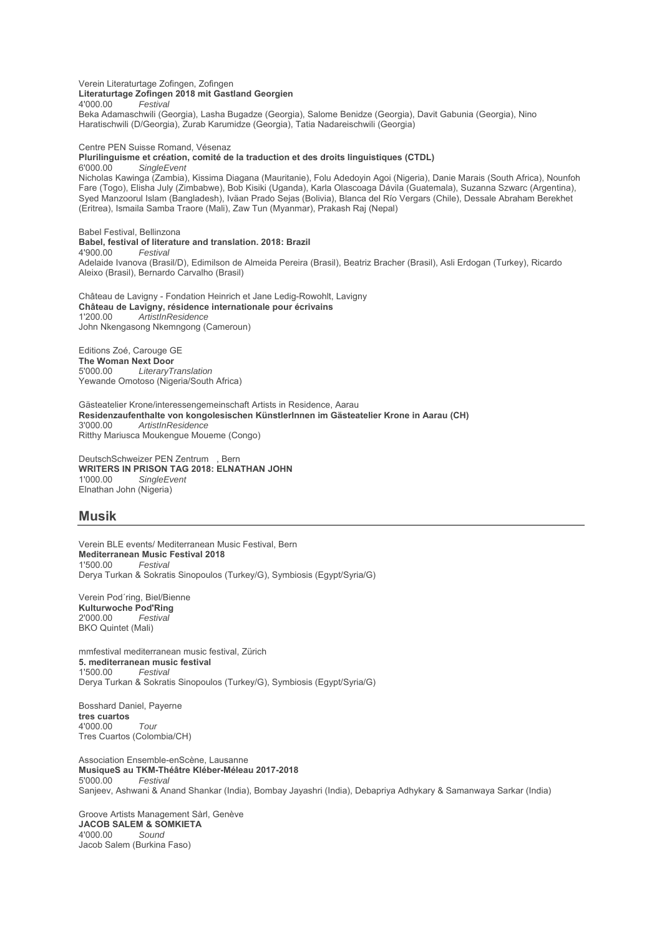Verein Literaturtage Zofingen, Zofingen **Literaturtage Zofingen 2018 mit Gastland Georgien** 4'000.00 *Festival* Beka Adamaschwili (Georgia), Lasha Bugadze (Georgia), Salome Benidze (Georgia), Davit Gabunia (Georgia), Nino Haratischwili (D/Georgia), Zurab Karumidze (Georgia), Tatia Nadareischwili (Georgia)

Centre PEN Suisse Romand, Vésenaz **Plurilinguisme et création, comité de la traduction et des droits linguistiques (CTDL)** 6'000.00 *SingleEvent*

Nicholas Kawinga (Zambia), Kissima Diagana (Mauritanie), Folu Adedoyin Agoi (Nigeria), Danie Marais (South Africa), Nounfoh Fare (Togo), Elisha July (Zimbabwe), Bob Kisiki (Uganda), Karla Olascoaga Dávila (Guatemala), Suzanna Szwarc (Argentina), Syed Manzoorul Islam (Bangladesh), Iväan Prado Sejas (Bolivia), Blanca del Río Vergars (Chile), Dessale Abraham Berekhet (Eritrea), Ismaila Samba Traore (Mali), Zaw Tun (Myanmar), Prakash Raj (Nepal)

Babel Festival, Bellinzona **Babel, festival of literature and translation. 2018: Brazil** 4'900.00 *Festival* Adelaide Ivanova (Brasil/D), Edimilson de Almeida Pereira (Brasil), Beatriz Bracher (Brasil), Asli Erdogan (Turkey), Ricardo Aleixo (Brasil), Bernardo Carvalho (Brasil)

Château de Lavigny - Fondation Heinrich et Jane Ledig-Rowohlt, Lavigny **Château de Lavigny, résidence internationale pour écrivains** 1'200.00 *ArtistInResidence* John Nkengasong Nkemngong (Cameroun)

Editions Zoé, Carouge GE **The Woman Next Door**<br>5'000.00 *LiteraryT* 5'000.00 *LiteraryTranslation* Yewande Omotoso (Nigeria/South Africa)

Gästeatelier Krone/interessengemeinschaft Artists in Residence, Aarau **Residenzaufenthalte von kongolesischen KünstlerInnen im Gästeatelier Krone in Aarau (CH)** 3'000.00 *ArtistInResidence* Ritthy Mariusca Moukengue Moueme (Congo)

DeutschSchweizer PEN Zentrum , Bern **WRITERS IN PRISON TAG 2018: ELNATHAN JOHN**  $SingleEvent$ Elnathan John (Nigeria)

### **Musik**

Verein BLE events/ Mediterranean Music Festival, Bern **Mediterranean Music Festival 2018**<br>1'500.00 Festival  $F$ estival Derya Turkan & Sokratis Sinopoulos (Turkey/G), Symbiosis (Egypt/Syria/G)

Verein Pod´ring, Biel/Bienne **Kulturwoche Pod'Ring** 2'000.00 *Festival* BKO Quintet (Mali)

mmfestival mediterranean music festival, Zürich **5. mediterranean music festival** 1'500.00 *Festival* Derya Turkan & Sokratis Sinopoulos (Turkey/G), Symbiosis (Egypt/Syria/G)

Bosshard Daniel, Payerne **tres cuartos** 4'000.00 *Tour* Tres Cuartos (Colombia/CH)

Association Ensemble-enScène, Lausanne **MusiqueS au TKM-Théâtre Kléber-Méleau 2017-2018**  $F$ estival Sanjeev, Ashwani & Anand Shankar (India), Bombay Jayashri (India), Debapriya Adhykary & Samanwaya Sarkar (India)

Groove Artists Management Sàrl, Genève **JACOB SALEM & SOMKIETA**<br>4'000.00 Sound 4'000.00 *Sound* Jacob Salem (Burkina Faso)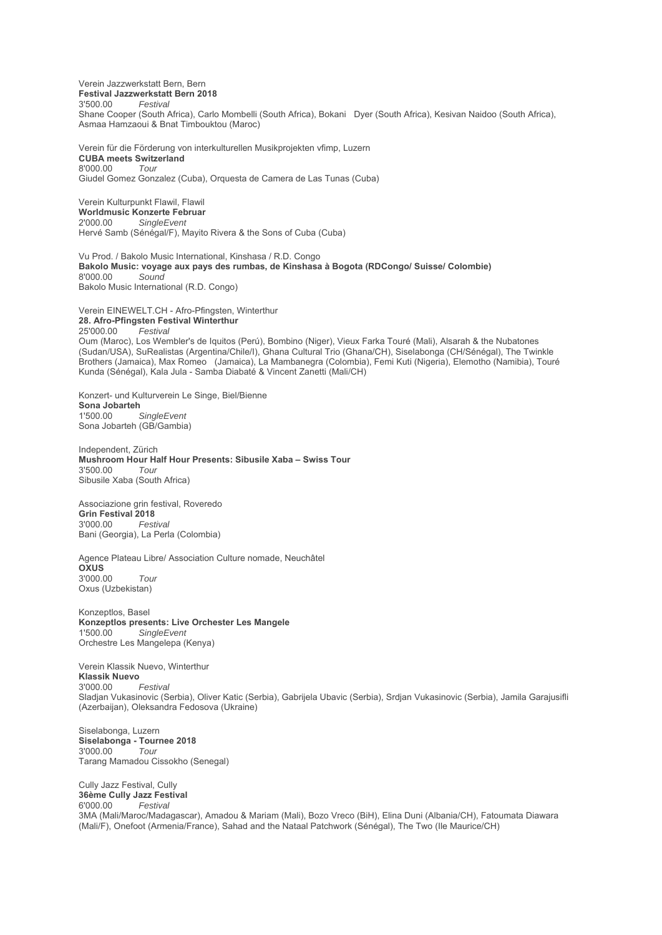Verein Jazzwerkstatt Bern, Bern

**Festival Jazzwerkstatt Bern 2018** 3'500.00 *Festival*

Shane Cooper (South Africa), Carlo Mombelli (South Africa), Bokani Dyer (South Africa), Kesivan Naidoo (South Africa), Asmaa Hamzaoui & Bnat Timbouktou (Maroc)

Verein für die Förderung von interkulturellen Musikprojekten vfimp, Luzern **CUBA meets Switzerland** 8'000.00 *Tour* Giudel Gomez Gonzalez (Cuba), Orquesta de Camera de Las Tunas (Cuba)

Verein Kulturpunkt Flawil, Flawil **Worldmusic Konzerte Februar**<br>2'000.00 SingleFvent  $S$ *ingleFvent* Hervé Samb (Sénégal/F), Mayito Rivera & the Sons of Cuba (Cuba)

Vu Prod. / Bakolo Music International, Kinshasa / R.D. Congo **Bakolo Music: voyage aux pays des rumbas, de Kinshasa à Bogota (RDCongo/ Suisse/ Colombie)** 8'000.00 *Sound* Bakolo Music International (R.D. Congo)

Verein EINEWELT.CH - Afro-Pfingsten, Winterthur **28. Afro-Pfingsten Festival Winterthur** 25'000.00 *Festival*

Oum (Maroc), Los Wembler's de Iquitos (Perú), Bombino (Niger), Vieux Farka Touré (Mali), Alsarah & the Nubatones (Sudan/USA), SuRealistas (Argentina/Chile/I), Ghana Cultural Trio (Ghana/CH), Siselabonga (CH/Sénégal), The Twinkle Brothers (Jamaica), Max Romeo (Jamaica), La Mambanegra (Colombia), Femi Kuti (Nigeria), Elemotho (Namibia), Touré Kunda (Sénégal), Kala Jula - Samba Diabaté & Vincent Zanetti (Mali/CH)

Konzert- und Kulturverein Le Singe, Biel/Bienne Sona Jobarteh  $SinaleEvent$ Sona Jobarteh (GB/Gambia)

Independent, Zürich **Mushroom Hour Half Hour Presents: Sibusile Xaba – Swiss Tour**  $3'500.00$ Sibusile Xaba (South Africa)

Associazione grin festival, Roveredo **Grin Festival 2018** 3'000.00 *Festival* Bani (Georgia), La Perla (Colombia)

Agence Plateau Libre/ Association Culture nomade, Neuchâtel **OXUS** 3'000.00 *Tour* Oxus (Uzbekistan)

Konzeptlos, Basel **Konzeptlos presents: Live Orchester Les Mangele** 1'500.00 *SingleEvent* Orchestre Les Mangelepa (Kenya)

Verein Klassik Nuevo, Winterthur **Klassik Nuevo** 3'000.00 *Festival* Sladjan Vukasinovic (Serbia), Oliver Katic (Serbia), Gabrijela Ubavic (Serbia), Srdjan Vukasinovic (Serbia), Jamila Garajusifli (Azerbaijan), Oleksandra Fedosova (Ukraine)

Siselabonga, Luzern **Siselabonga - Tournee 2018** 3'000.00 *Tour* Tarang Mamadou Cissokho (Senegal)

Cully Jazz Festival, Cully **36ème Cully Jazz Festival** 6'000.00 *Festival* 3MA (Mali/Maroc/Madagascar), Amadou & Mariam (Mali), Bozo Vreco (BiH), Elina Duni (Albania/CH), Fatoumata Diawara (Mali/F), Onefoot (Armenia/France), Sahad and the Nataal Patchwork (Sénégal), The Two (Ile Maurice/CH)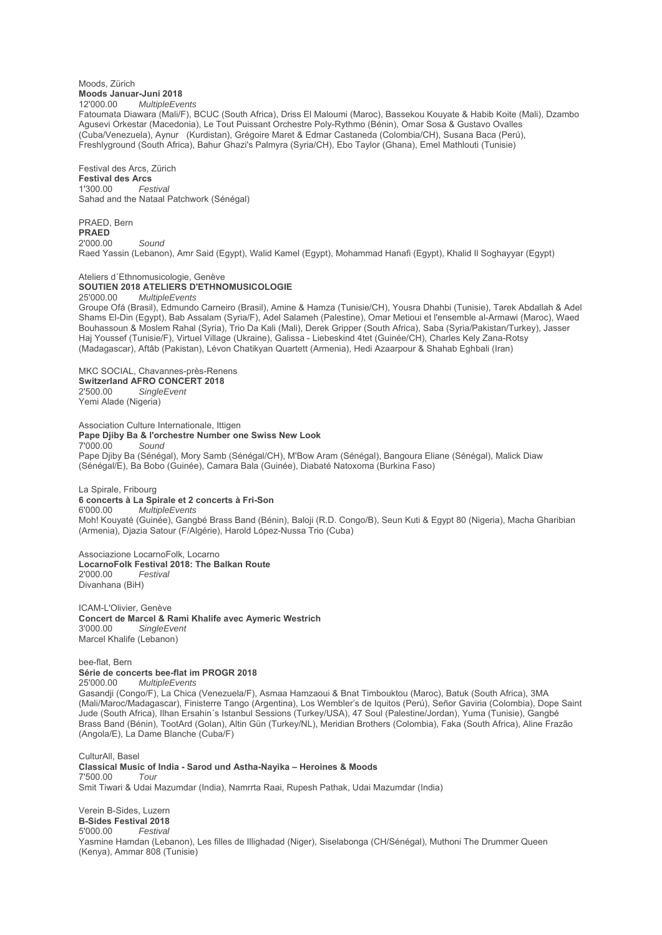#### Moods, Zürich **Moods Januar-Juni 2018** 12'000.00 *MultipleEvents*

Fatoumata Diawara (Mali/F), BCUC (South Africa), Driss El Maloumi (Maroc), Bassekou Kouyate & Habib Koite (Mali), Dzambo Agusevi Orkestar (Macedonia), Le Tout Puissant Orchestre Poly-Rythmo (Bénin), Omar Sosa & Gustavo Ovalles (Cuba/Venezuela), Aynur (Kurdistan), Grégoire Maret & Edmar Castaneda (Colombia/CH), Susana Baca (Perú), Freshlyground (South Africa), Bahur Ghazi's Palmyra (Syria/CH), Ebo Taylor (Ghana), Emel Mathlouti (Tunisie)

Festival des Arcs, Zürich **Festival des Arcs** 1'300.00 *Festival* Sahad and the Nataal Patchwork (Sénégal)

PRAED, Bern **PRAED** 2'000.00 *Sound* Raed Yassin (Lebanon), Amr Said (Egypt), Walid Kamel (Egypt), Mohammad Hanafi (Egypt), Khalid Il Soghayyar (Egypt)

#### Ateliers d´Ethnomusicologie, Genève **SOUTIEN 2018 ATELIERS D'ETHNOMUSICOLOGIE** 25'000.00 *MultipleEvents*

Groupe Ofá (Brasil), Edmundo Carneiro (Brasil), Amine & Hamza (Tunisie/CH), Yousra Dhahbi (Tunisie), Tarek Abdallah & Adel Shams El-Din (Egypt), Bab Assalam (Syria/F), Adel Salameh (Palestine), Omar Metioui et l'ensemble al-Armawi (Maroc), Waed Bouhassoun & Moslem Rahal (Syria), Trio Da Kali (Mali), Derek Gripper (South Africa), Saba (Syria/Pakistan/Turkey), Jasser Haj Youssef (Tunisie/F), Virtuel Village (Ukraine), Galissa - Liebeskind 4tet (Guinée/CH), Charles Kely Zana-Rotsy (Madagascar), Aftâb (Pakistan), Lévon Chatikyan Quartett (Armenia), Hedi Azaarpour & Shahab Eghbali (Iran)

MKC SOCIAL, Chavannes-près-Renens **Switzerland AFRO CONCERT 2018** 2'500.00 *SingleEvent* Yemi Alade (Nigeria)

Association Culture Internationale, Ittigen **Pape Djiby Ba & l'orchestre Number one Swiss New Look** 7'000.00 *Sound*

Pape Djiby Ba (Sénégal), Mory Samb (Sénégal/CH), M'Bow Aram (Sénégal), Bangoura Eliane (Sénégal), Malick Diaw (Sénégal/E), Ba Bobo (Guinée), Camara Bala (Guinée), Diabaté Natoxoma (Burkina Faso)

# La Spirale, Fribourg

**6 concerts à La Spirale et 2 concerts à Fri-Son** 6'000.00 *MultipleEvents*

Moh! Kouyaté (Guinée), Gangbé Brass Band (Bénin), Baloji (R.D. Congo/B), Seun Kuti & Egypt 80 (Nigeria), Macha Gharibian (Armenia), Djazia Satour (F/Algérie), Harold López-Nussa Trio (Cuba)

Associazione LocarnoFolk, Locarno **LocarnoFolk Festival 2018: The Balkan Route** 2'000.00 *Festival* Divanhana (BiH)

ICAM-L'Olivier, Genève **Concert de Marcel & Rami Khalife avec Aymeric Westrich** 3'000.00 *SingleEvent* Marcel Khalife (Lebanon)

bee-flat, Bern **Série de concerts bee-flat im PROGR 2018** 25'000.00 *MultipleEvents* Gasandji (Congo/F), La Chica (Venezuela/F), Asmaa Hamzaoui & Bnat Timbouktou (Maroc), Batuk (South Africa), 3MA (Mali/Maroc/Madagascar), Finisterre Tango (Argentina), Los Wembler's de Iquitos (Perú), Señor Gaviria (Colombia), Dope Saint Jude (South Africa), Ilhan Ersahin´s Istanbul Sessions (Turkey/USA), 47 Soul (Palestine/Jordan), Yuma (Tunisie), Gangbé Brass Band (Bénin), TootArd (Golan), Altin Gün (Turkey/NL), Meridian Brothers (Colombia), Faka (South Africa), Aline Frazão (Angola/E), La Dame Blanche (Cuba/F)

CulturAll, Basel **Classical Music of India - Sarod und Astha-Nayika – Heroines & Moods** 7'500.00 *Tour* Smit Tiwari & Udai Mazumdar (India), Namrrta Raai, Rupesh Pathak, Udai Mazumdar (India)

Verein B-Sides, Luzern **B-Sides Festival 2018** 5'000.00 *Festival* Yasmine Hamdan (Lebanon), Les filles de Illighadad (Niger), Siselabonga (CH/Sénégal), Muthoni The Drummer Queen (Kenya), Ammar 808 (Tunisie)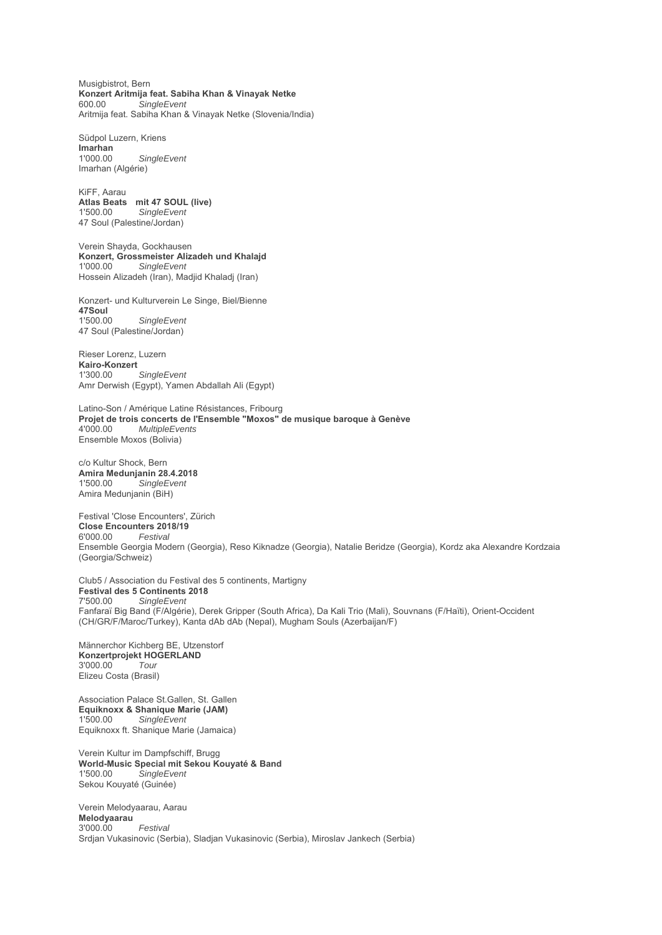Musigbistrot, Bern **Konzert Aritmija feat. Sabiha Khan & Vinayak Netke** 600.00 *SingleEvent* Aritmija feat. Sabiha Khan & Vinayak Netke (Slovenia/India)

Südpol Luzern, Kriens **Imarhan** 1'000.00 *SingleEvent* Imarhan (Algérie)

KiFF, Aarau **Atlas Beats mit 47 SOUL (live)**  $SingleEvent$ 47 Soul (Palestine/Jordan)

Verein Shayda, Gockhausen **Konzert, Grossmeister Alizadeh und Khalajd** 1'000.00 *SingleEvent* Hossein Alizadeh (Iran), Madjid Khaladj (Iran)

Konzert- und Kulturverein Le Singe, Biel/Bienne **47Soul**  $SingleEvent$ 47 Soul (Palestine/Jordan)

Rieser Lorenz, Luzern Kairo-Konzert<br>1'300 00 1'300.00 *SingleEvent* Amr Derwish (Egypt), Yamen Abdallah Ali (Egypt)

Latino-Son / Amérique Latine Résistances, Fribourg **Projet de trois concerts de l'Ensemble "Moxos" de musique baroque à Genève**<br>4'000 00 *MultipleEvents* 4'000.00 *MultipleEvents* Ensemble Moxos (Bolivia)

c/o Kultur Shock, Bern **Amira Medunjanin 28.4.2018** 1'500.00 *SingleEvent* Amira Medunjanin (BiH)

Festival 'Close Encounters', Zürich Close Encounters 2018/19<br>6'000.00 Festival 6'000.00 *Festival* Ensemble Georgia Modern (Georgia), Reso Kiknadze (Georgia), Natalie Beridze (Georgia), Kordz aka Alexandre Kordzaia (Georgia/Schweiz)

Club5 / Association du Festival des 5 continents, Martigny **Festival des 5 Continents 2018**<br>7'500.00 SingleEvent 7'500.00 *SingleEvent* Fanfaraï Big Band (F/Algérie), Derek Gripper (South Africa), Da Kali Trio (Mali), Souvnans (F/Haïti), Orient-Occident (CH/GR/F/Maroc/Turkey), Kanta dAb dAb (Nepal), Mugham Souls (Azerbaijan/F)

Männerchor Kichberg BE, Utzenstorf **Konzertprojekt HOGERLAND** 3'000.00 *Tour* Elizeu Costa (Brasil)

Association Palace St.Gallen, St. Gallen **Equiknoxx & Shanique Marie (JAM)** 1'500.00 *SingleEvent* Equiknoxx ft. Shanique Marie (Jamaica)

Verein Kultur im Dampfschiff, Brugg **World-Music Special mit Sekou Kouyaté & Band** 1'500.00 *SingleEvent* Sekou Kouyaté (Guinée)

Verein Melodyaarau, Aarau **Melodyaarau** 3'000.00 *Festival* Srdjan Vukasinovic (Serbia), Sladjan Vukasinovic (Serbia), Miroslav Jankech (Serbia)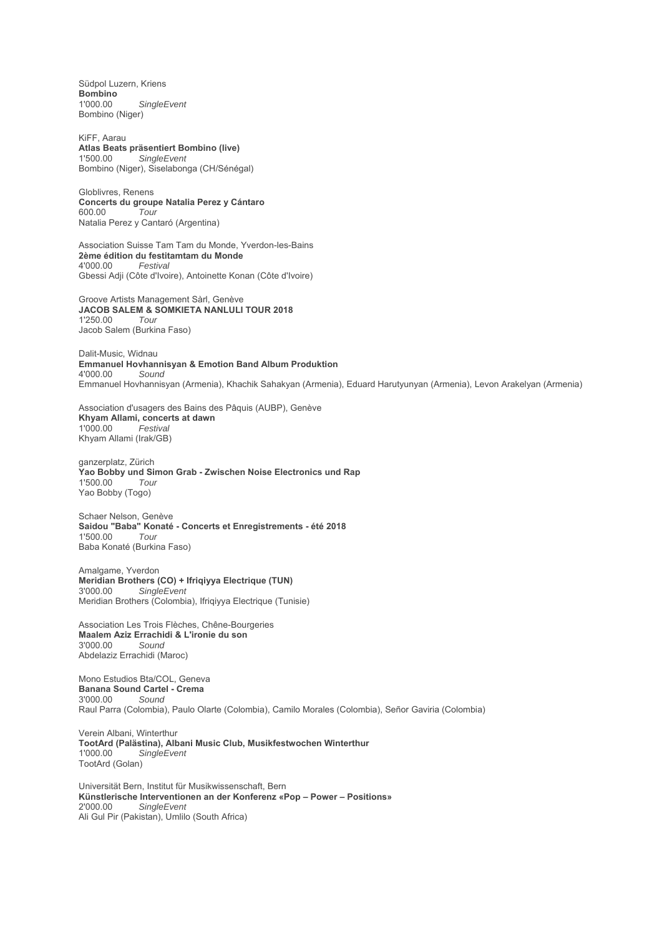Südpol Luzern, Kriens Bombino<br>1'000.00  $SingleEvent$ Bombino (Niger)

KiFF, Aarau **Atlas Beats präsentiert Bombino (live)** 1'500.00 *SingleEvent* Bombino (Niger), Siselabonga (CH/Sénégal)

Globlivres, Renens **Concerts du groupe Natalia Perez y Cántaro** 600.00 *Tour* Natalia Perez y Cantaró (Argentina)

Association Suisse Tam Tam du Monde, Yverdon-les-Bains **2ème édition du festitamtam du Monde** 4'000.00 *Festival* Gbessi Adji (Côte d'Ivoire), Antoinette Konan (Côte d'Ivoire)

Groove Artists Management Sàrl, Genève **JACOB SALEM & SOMKIETA NANLULI TOUR 2018** 1'250.00 *Tour* Jacob Salem (Burkina Faso)

Dalit-Music, Widnau **Emmanuel Hovhannisyan & Emotion Band Album Produktion** 4'000.00 *Sound* Emmanuel Hovhannisyan (Armenia), Khachik Sahakyan (Armenia), Eduard Harutyunyan (Armenia), Levon Arakelyan (Armenia)

Association d'usagers des Bains des Pâquis (AUBP), Genève **Khyam Allami, concerts at dawn**<br>1'000.00 **Festival** 1'000.00 *Festival* Khyam Allami (Irak/GB)

ganzerplatz, Zürich Yao Bobby und Simon Grab - Zwischen Noise Electronics und Rap<br>1'500.00 Tour 1'500.00 *Tour* Yao Bobby (Togo)

Schaer Nelson, Genève **Saidou "Baba" Konaté - Concerts et Enregistrements - été 2018** 1'500.00 *Tour* Baba Konaté (Burkina Faso)

Amalgame, Yverdon **Meridian Brothers (CO) + Ifriqiyya Electrique (TUN)** 3'000.00 *SingleEvent* Meridian Brothers (Colombia), Ifriqiyya Electrique (Tunisie)

Association Les Trois Flèches, Chêne-Bourgeries **Maalem Aziz Errachidi & L'ironie du son** 3'000.00 *Sound* Abdelaziz Errachidi (Maroc)

Mono Estudios Bta/COL, Geneva **Banana Sound Cartel - Crema** 3'000.00 *Sound* Raul Parra (Colombia), Paulo Olarte (Colombia), Camilo Morales (Colombia), Señor Gaviria (Colombia)

Verein Albani, Winterthur **TootArd (Palästina), Albani Music Club, Musikfestwochen Winterthur** 1'000.00 *SingleEvent* TootArd (Golan)

Universität Bern, Institut für Musikwissenschaft, Bern **Künstlerische Interventionen an der Konferenz «Pop – Power – Positions»**  $SingleEvent$ Ali Gul Pir (Pakistan), Umlilo (South Africa)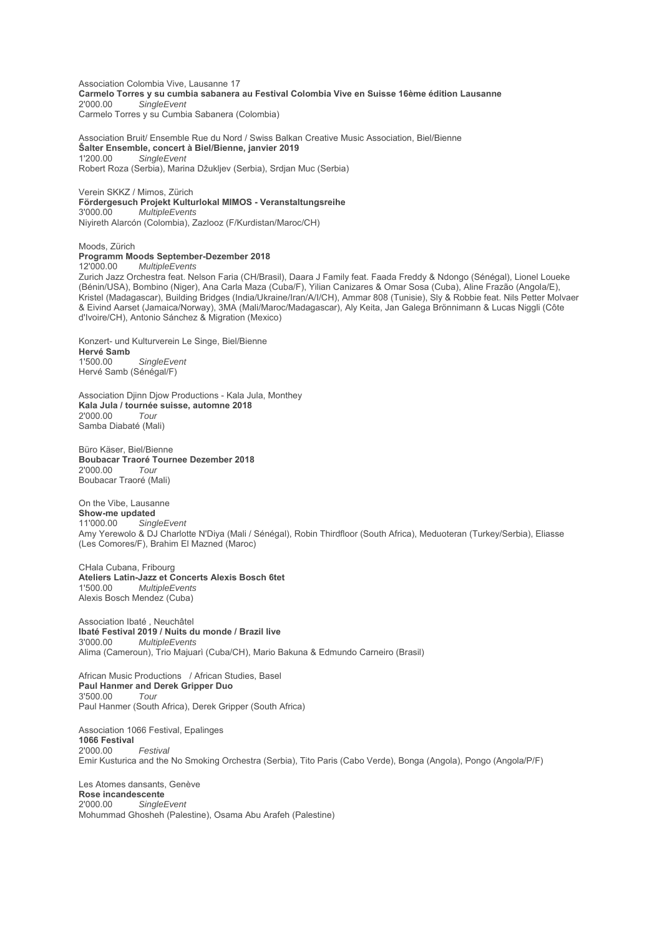Association Colombia Vive, Lausanne 17 **Carmelo Torres y su cumbia sabanera au Festival Colombia Vive en Suisse 16ème édition Lausanne** 2'000.00 *SingleEvent* Carmelo Torres y su Cumbia Sabanera (Colombia)

Association Bruit/ Ensemble Rue du Nord / Swiss Balkan Creative Music Association, Biel/Bienne **Šalter Ensemble, concert à Biel/Bienne, janvier 2019** 1'200.00 *SingleEvent* Robert Roza (Serbia), Marina Džukljev (Serbia), Srdjan Muc (Serbia)

Verein SKKZ / Mimos, Zürich **Fördergesuch Projekt Kulturlokal MIMOS - Veranstaltungsreihe** 3'000.00 *MultipleEvents* Niyireth Alarcón (Colombia), Zazlooz (F/Kurdistan/Maroc/CH)

Moods, Zürich **Programm Moods September-Dezember 2018**

12'000.00 *MultipleEvents*

Zurich Jazz Orchestra feat. Nelson Faria (CH/Brasil), Daara J Family feat. Faada Freddy & Ndongo (Sénégal), Lionel Loueke (Bénin/USA), Bombino (Niger), Ana Carla Maza (Cuba/F), Yilian Canizares & Omar Sosa (Cuba), Aline Frazão (Angola/E), Kristel (Madagascar), Building Bridges (India/Ukraine/Iran/A/I/CH), Ammar 808 (Tunisie), Sly & Robbie feat. Nils Petter Molvaer & Eivind Aarset (Jamaica/Norway), 3MA (Mali/Maroc/Madagascar), Aly Keita, Jan Galega Brönnimann & Lucas Niggli (Côte d'Ivoire/CH), Antonio Sánchez & Migration (Mexico)

Konzert- und Kulturverein Le Singe, Biel/Bienne **Hervé Samb**<br>1'500.00  $SingleEvent$ Hervé Samb (Sénégal/F)

Association Djinn Djow Productions - Kala Jula, Monthey **Kala Jula / tournée suisse, automne 2018** 2'000.00 *Tour* Samba Diabaté (Mali)

Büro Käser, Biel/Bienne **Boubacar Traoré Tournee Dezember 2018** 2'000.00 *Tour* Boubacar Traoré (Mali)

# On the Vibe, Lausanne

**Show-me updated** 11'000.00 *SingleEvent* Amy Yerewolo & DJ Charlotte N'Diya (Mali / Sénégal), Robin Thirdfloor (South Africa), Meduoteran (Turkey/Serbia), Eliasse (Les Comores/F), Brahim El Mazned (Maroc)

CHala Cubana, Fribourg **Ateliers Latin-Jazz et Concerts Alexis Bosch 6tet** 1'500.00 *MultipleEvents* Alexis Bosch Mendez (Cuba)

Association Ibaté, Neuchâtel **Ibaté Festival 2019 / Nuits du monde / Brazil live** 3'000.00 *MultipleEvents* Alima (Cameroun), Trio Majuarì (Cuba/CH), Mario Bakuna & Edmundo Carneiro (Brasil)

African Music Productions / African Studies, Basel **Paul Hanmer and Derek Gripper Duo** 3'500.00 *Tour* Paul Hanmer (South Africa), Derek Gripper (South Africa)

Association 1066 Festival, Epalinges **1066 Festival** 2'000.00 *Festival* Emir Kusturica and the No Smoking Orchestra (Serbia), Tito Paris (Cabo Verde), Bonga (Angola), Pongo (Angola/P/F)

Les Atomes dansants, Genève **Rose incandescente** 2'000.00 *SingleEvent* Mohummad Ghosheh (Palestine), Osama Abu Arafeh (Palestine)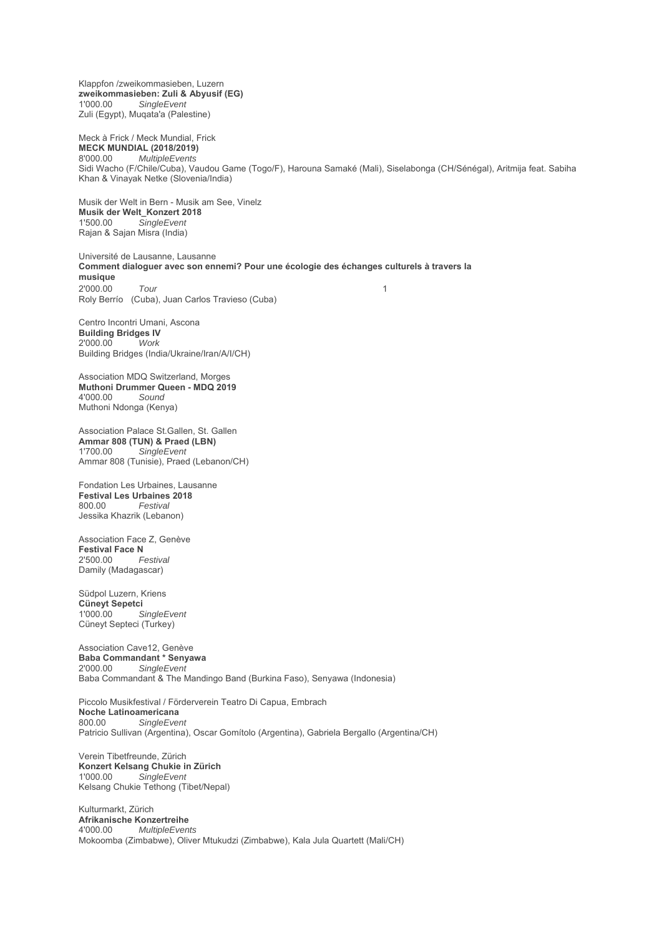Klappfon /zweikommasieben, Luzern **zweikommasieben: Zuli & Abyusif (EG)**  $SingleEvent$ Zuli (Egypt), Muqata'a (Palestine)

Meck à Frick / Meck Mundial, Frick **MECK MUNDIAL (2018/2019)** 8'000.00 *MultipleEvents* Sidi Wacho (F/Chile/Cuba), Vaudou Game (Togo/F), Harouna Samaké (Mali), Siselabonga (CH/Sénégal), Aritmija feat. Sabiha Khan & Vinayak Netke (Slovenia/India)

Musik der Welt in Bern - Musik am See, Vinelz **Musik der Welt\_Konzert 2018**<br>1'500.00 SingleFvent  $SingleEvent$ Rajan & Sajan Misra (India)

Université de Lausanne, Lausanne **Comment dialoguer avec son ennemi? Pour une écologie des échanges culturels à travers la musique** 2'000.00 *Tour* 1 Roly Berrío (Cuba), Juan Carlos Travieso (Cuba)

Centro Incontri Umani, Ascona **Building Bridges IV** 2'000.00 *Work* Building Bridges (India/Ukraine/Iran/A/I/CH)

Association MDQ Switzerland, Morges **Muthoni Drummer Queen - MDQ 2019** 4'000.00 *Sound* Muthoni Ndonga (Kenya)

Association Palace St.Gallen, St. Gallen **Ammar 808 (TUN) & Praed (LBN)** 1'700.00 *SingleEvent* Ammar 808 (Tunisie), Praed (Lebanon/CH)

Fondation Les Urbaines, Lausanne **Festival Les Urbaines 2018**  $F$ estival Jessika Khazrik (Lebanon)

Association Face Z, Genève **Festival Face N**<br>2'500.00 *Festival* 2'500.00 *Festival* Damily (Madagascar)

Südpol Luzern, Kriens **Cüneyt Sepetci**  $SingleEvent$ Cüneyt Septeci (Turkey)

Association Cave12, Genève **Baba Commandant \* Senyawa**<br>2'000.00 SingleFvent  $S$ *ingleEvent* Baba Commandant & The Mandingo Band (Burkina Faso), Senyawa (Indonesia)

Piccolo Musikfestival / Förderverein Teatro Di Capua, Embrach **Noche Latinoamericana**<br>800.00 SingleEver SingleEvent Patricio Sullivan (Argentina), Oscar Gomítolo (Argentina), Gabriela Bergallo (Argentina/CH)

Verein Tibetfreunde, Zürich **Konzert Kelsang Chukie in Zürich**  $SingleEvent$ Kelsang Chukie Tethong (Tibet/Nepal)

Kulturmarkt, Zürich **Afrikanische Konzertreihe** 4'000.00 *MultipleEvents* Mokoomba (Zimbabwe), Oliver Mtukudzi (Zimbabwe), Kala Jula Quartett (Mali/CH)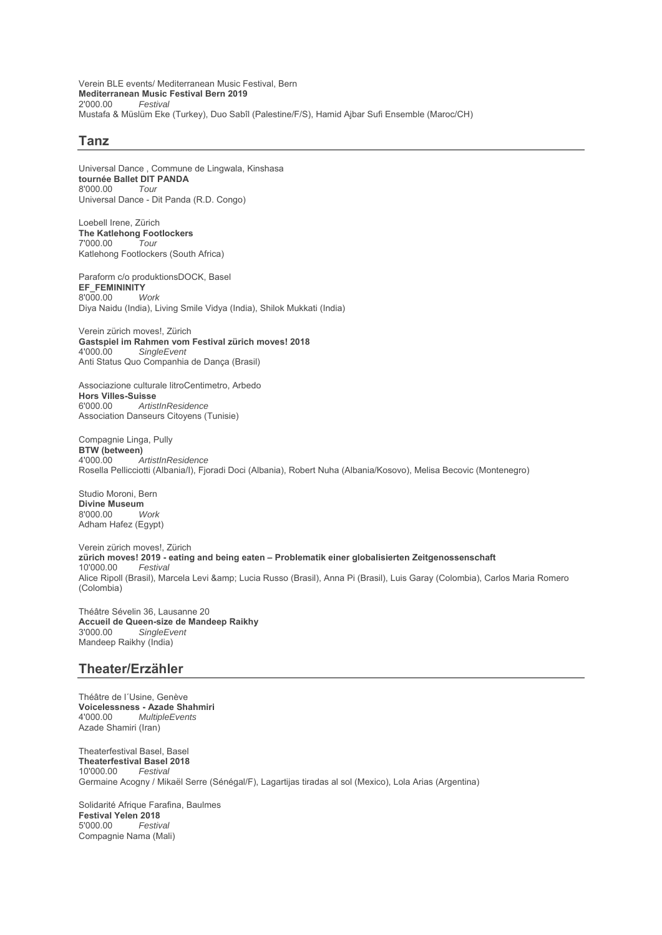Verein BLE events/ Mediterranean Music Festival, Bern **Mediterranean Music Festival Bern 2019** 2'000.00 *Festival* Mustafa & Müslüm Eke (Turkey), Duo Sabîl (Palestine/F/S), Hamid Ajbar Sufi Ensemble (Maroc/CH)

### **Tanz**

Universal Dance , Commune de Lingwala, Kinshasa **tournée Ballet DIT PANDA** 8'000.00 *Tour* Universal Dance - Dit Panda (R.D. Congo)

Loebell Irene, Zürich The Katlehong Footlockers<br>7'000.00 Tour 7'000.00 *Tour* Katlehong Footlockers (South Africa)

Paraform c/o produktionsDOCK, Basel **EF\_FEMININITY**<br>8'000.00 Work 8'000.00 *Work* Diya Naidu (India), Living Smile Vidya (India), Shilok Mukkati (India)

Verein zürich moves!, Zürich **Gastspiel im Rahmen vom Festival zürich moves! 2018**  $SingleEvent$ Anti Status Quo Companhia de Dança (Brasil)

Associazione culturale litroCentimetro, Arbedo **Hors Villes-Suisse**<br>6'000.00 *Artisi* 6'000.00 *ArtistInResidence* Association Danseurs Citoyens (Tunisie)

Compagnie Linga, Pully **BTW (between)** 4'000.00 *ArtistInResidence* Rosella Pellicciotti (Albania/I), Fjoradi Doci (Albania), Robert Nuha (Albania/Kosovo), Melisa Becovic (Montenegro)

Studio Moroni, Bern **Divine Museum**<br>8'000.00 Work 8'000.00 *Work* Adham Hafez (Egypt)

Verein zürich moves!, Zürich **zürich moves! 2019 - eating and being eaten – Problematik einer globalisierten Zeitgenossenschaft** 10'000.00 *Festival* Alice Ripoll (Brasil), Marcela Levi & amp; Lucia Russo (Brasil), Anna Pi (Brasil), Luis Garay (Colombia), Carlos Maria Romero (Colombia)

Théâtre Sévelin 36, Lausanne 20 **Accueil de Queen-size de Mandeep Raikhy** 3'000.00 *SingleEvent* Mandeep Raikhy (India)

### **Theater/Erzähler**

Théâtre de l´Usine, Genève **Voicelessness - Azade Shahmiri** 4'000.00 *MultipleEvents* Azade Shamiri (Iran)

Theaterfestival Basel, Basel **Theaterfestival Basel 2018** 10'000.00 *Festival* Germaine Acogny / Mikaël Serre (Sénégal/F), Lagartijas tiradas al sol (Mexico), Lola Arias (Argentina)

Solidarité Afrique Farafina, Baulmes **Festival Yelen 2018** 5'000.00 *Festival* Compagnie Nama (Mali)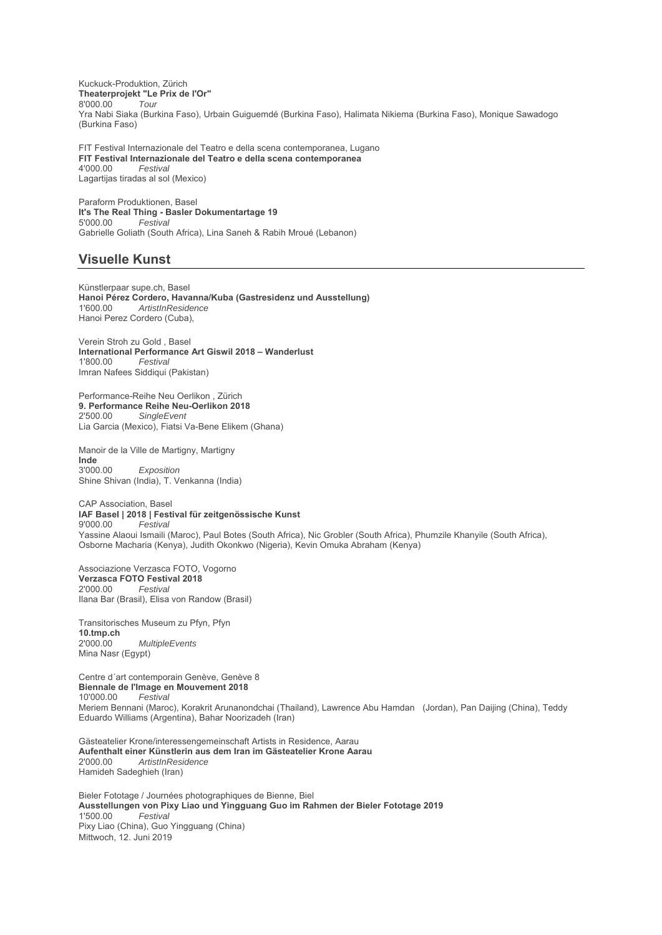Kuckuck-Produktion, Zürich **Theaterprojekt "Le Prix de l'Or"** 8'000.00 *Tour* Yra Nabi Siaka (Burkina Faso), Urbain Guiguemdé (Burkina Faso), Halimata Nikiema (Burkina Faso), Monique Sawadogo (Burkina Faso)

FIT Festival Internazionale del Teatro e della scena contemporanea, Lugano **FIT Festival Internazionale del Teatro e della scena contemporanea** 4'000.00 *Festival* Lagartijas tiradas al sol (Mexico)

Paraform Produktionen, Basel **It's The Real Thing - Basler Dokumentartage 19** 5'000.00 *Festival* Gabrielle Goliath (South Africa), Lina Saneh & Rabih Mroué (Lebanon)

## **Visuelle Kunst**

Künstlerpaar supe.ch, Basel **Hanoi Pérez Cordero, Havanna/Kuba (Gastresidenz und Ausstellung)** 1'600.00 *ArtistInResidence* Hanoi Perez Cordero (Cuba),

Verein Stroh zu Gold , Basel **International Performance Art Giswil 2018 – Wanderlust** 1'800.00 *Festival* Imran Nafees Siddiqui (Pakistan)

Performance-Reihe Neu Oerlikon , Zürich **9. Performance Reihe Neu-Oerlikon 2018** 2'500.00 *SingleEvent* Lia Garcia (Mexico), Fiatsi Va-Bene Elikem (Ghana)

Manoir de la Ville de Martigny, Martigny **Inde**<br>3'000.00  $Exposition$ Shine Shivan (India), T. Venkanna (India)

CAP Association, Basel **IAF Basel | 2018 | Festival für zeitgenössische Kunst** 9'000.00 *Festival* Yassine Alaoui Ismaili (Maroc), Paul Botes (South Africa), Nic Grobler (South Africa), Phumzile Khanyile (South Africa), Osborne Macharia (Kenya), Judith Okonkwo (Nigeria), Kevin Omuka Abraham (Kenya)

Associazione Verzasca FOTO, Vogorno **Verzasca FOTO Festival 2018**<br>2'000.00 Festival  $F$ estival Ilana Bar (Brasil), Elisa von Randow (Brasil)

Transitorisches Museum zu Pfyn, Pfyn **10.tmp.ch** 2'000.00 *MultipleEvents* Mina Nasr (Egypt)

Centre d´art contemporain Genève, Genève 8 **Biennale de l'Image en Mouvement 2018**  $F$ estival Meriem Bennani (Maroc), Korakrit Arunanondchai (Thailand), Lawrence Abu Hamdan (Jordan), Pan Daijing (China), Teddy Eduardo Williams (Argentina), Bahar Noorizadeh (Iran)

Gästeatelier Krone/interessengemeinschaft Artists in Residence, Aarau **Aufenthalt einer Künstlerin aus dem Iran im Gästeatelier Krone Aarau** 2'000.00 *ArtistInResidence* Hamideh Sadeghieh (Iran)

Bieler Fototage / Journées photographiques de Bienne, Biel **Ausstellungen von Pixy Liao und Yingguang Guo im Rahmen der Bieler Fototage 2019** 1'500.00 *Festival* Pixy Liao (China), Guo Yingguang (China) Mittwoch, 12. Juni 2019